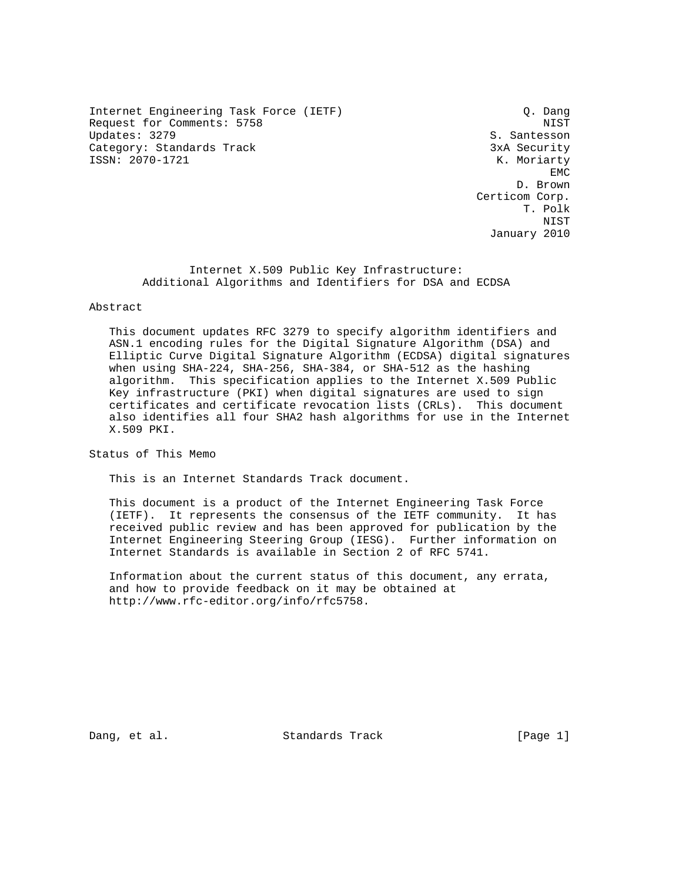Internet Engineering Task Force (IETF) C. Dang Request for Comments: 5758 NIST Updates: 3279 S. Santesson Category: Standards Track 3xA Security ISSN: 2070-1721 K. Moriarty

**EMC** EXPERIMENT AND RESERVE EMC D. Brown Certicom Corp. T. Polk NIST January 2010

> Internet X.509 Public Key Infrastructure: Additional Algorithms and Identifiers for DSA and ECDSA

# Abstract

 This document updates RFC 3279 to specify algorithm identifiers and ASN.1 encoding rules for the Digital Signature Algorithm (DSA) and Elliptic Curve Digital Signature Algorithm (ECDSA) digital signatures when using SHA-224, SHA-256, SHA-384, or SHA-512 as the hashing algorithm. This specification applies to the Internet X.509 Public Key infrastructure (PKI) when digital signatures are used to sign certificates and certificate revocation lists (CRLs). This document also identifies all four SHA2 hash algorithms for use in the Internet X.509 PKI.

Status of This Memo

This is an Internet Standards Track document.

 This document is a product of the Internet Engineering Task Force (IETF). It represents the consensus of the IETF community. It has received public review and has been approved for publication by the Internet Engineering Steering Group (IESG). Further information on Internet Standards is available in Section 2 of RFC 5741.

 Information about the current status of this document, any errata, and how to provide feedback on it may be obtained at http://www.rfc-editor.org/info/rfc5758.

Dang, et al. Standards Track [Page 1]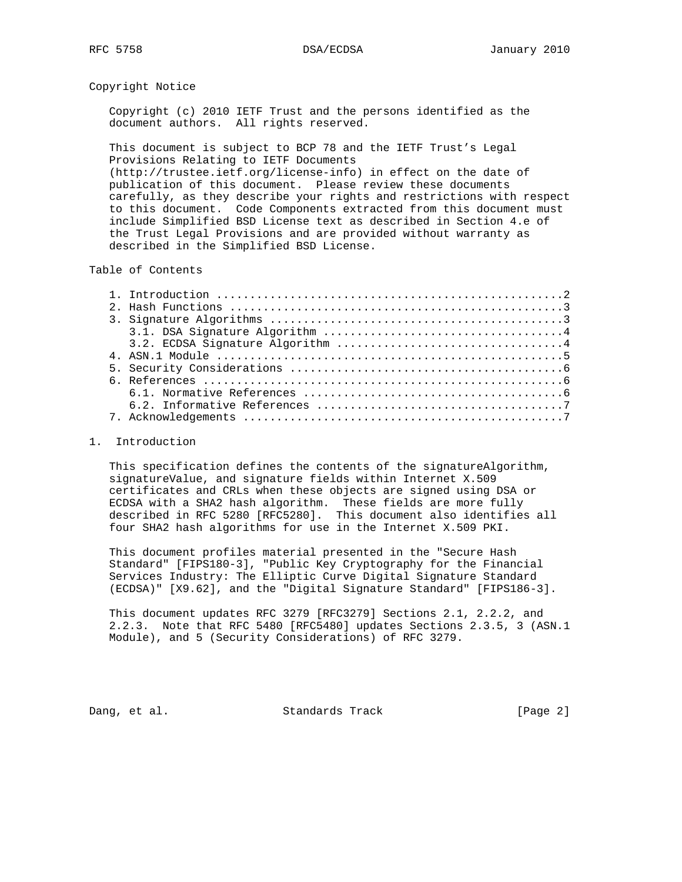Copyright Notice

 Copyright (c) 2010 IETF Trust and the persons identified as the document authors. All rights reserved.

 This document is subject to BCP 78 and the IETF Trust's Legal Provisions Relating to IETF Documents (http://trustee.ietf.org/license-info) in effect on the date of publication of this document. Please review these documents carefully, as they describe your rights and restrictions with respect to this document. Code Components extracted from this document must include Simplified BSD License text as described in Section 4.e of the Trust Legal Provisions and are provided without warranty as

described in the Simplified BSD License.

Table of Contents

| 4. ASN.1 Module $\ldots \ldots \ldots \ldots \ldots \ldots \ldots \ldots \ldots \ldots \ldots \ldots \ldots$ |
|--------------------------------------------------------------------------------------------------------------|
|                                                                                                              |
|                                                                                                              |
|                                                                                                              |
|                                                                                                              |
|                                                                                                              |

### 1. Introduction

 This specification defines the contents of the signatureAlgorithm, signatureValue, and signature fields within Internet X.509 certificates and CRLs when these objects are signed using DSA or ECDSA with a SHA2 hash algorithm. These fields are more fully described in RFC 5280 [RFC5280]. This document also identifies all four SHA2 hash algorithms for use in the Internet X.509 PKI.

 This document profiles material presented in the "Secure Hash Standard" [FIPS180-3], "Public Key Cryptography for the Financial Services Industry: The Elliptic Curve Digital Signature Standard (ECDSA)" [X9.62], and the "Digital Signature Standard" [FIPS186-3].

 This document updates RFC 3279 [RFC3279] Sections 2.1, 2.2.2, and 2.2.3. Note that RFC 5480 [RFC5480] updates Sections 2.3.5, 3 (ASN.1 Module), and 5 (Security Considerations) of RFC 3279.

Dang, et al. Standards Track [Page 2]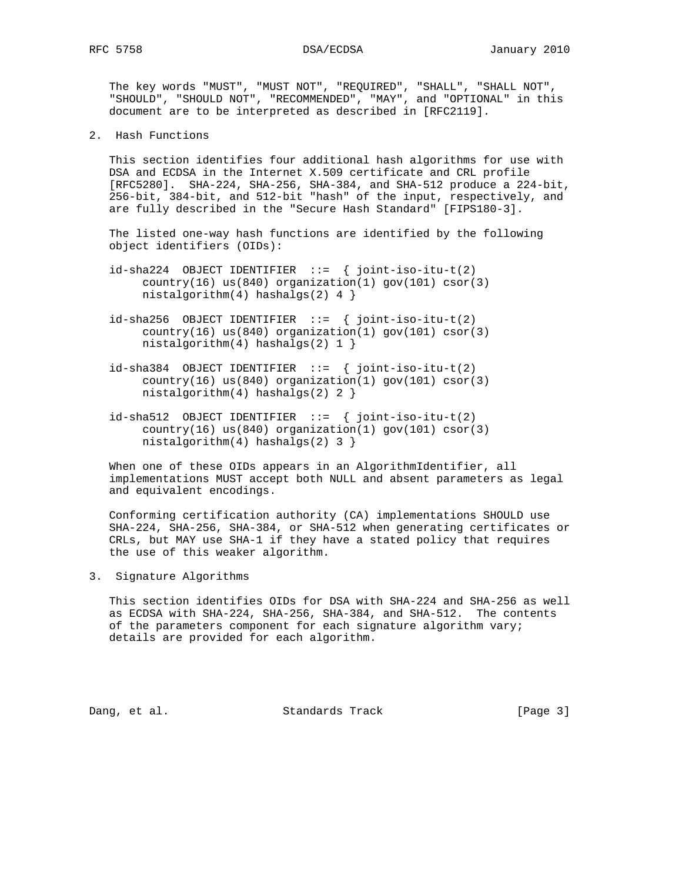The key words "MUST", "MUST NOT", "REQUIRED", "SHALL", "SHALL NOT", "SHOULD", "SHOULD NOT", "RECOMMENDED", "MAY", and "OPTIONAL" in this document are to be interpreted as described in [RFC2119].

2. Hash Functions

 This section identifies four additional hash algorithms for use with DSA and ECDSA in the Internet X.509 certificate and CRL profile [RFC5280]. SHA-224, SHA-256, SHA-384, and SHA-512 produce a 224-bit, 256-bit, 384-bit, and 512-bit "hash" of the input, respectively, and are fully described in the "Secure Hash Standard" [FIPS180-3].

 The listed one-way hash functions are identified by the following object identifiers (OIDs):

- $id$ -sha224 OBJECT IDENTIFIER ::= { joint-iso-itu-t(2) country(16) us(840) organization(1) gov(101) csor(3) nistalgorithm(4) hashalgs(2)  $4$  }
- $id$ -sha256 OBJECT IDENTIFIER ::= { joint-iso-itu-t(2)  $country(16)$  us(840) organization(1) gov(101) csor(3) nistalgorithm(4) hashalgs(2) 1 }
- $id\text{-}sha384$  OBJECT IDENTIFIER ::= { joint-iso-itu-t(2) country(16) us(840) organization(1) gov(101) csor(3) nistalgorithm(4) hashalgs(2) 2 }
- $id\text{-}sha512$  OBJECT IDENTIFIER ::= { joint-iso-itu-t(2) country(16) us(840) organization(1) gov(101) csor(3) nistalgorithm(4) hashalgs(2) 3 }

When one of these OIDs appears in an AlgorithmIdentifier, all implementations MUST accept both NULL and absent parameters as legal and equivalent encodings.

 Conforming certification authority (CA) implementations SHOULD use SHA-224, SHA-256, SHA-384, or SHA-512 when generating certificates or CRLs, but MAY use SHA-1 if they have a stated policy that requires the use of this weaker algorithm.

3. Signature Algorithms

 This section identifies OIDs for DSA with SHA-224 and SHA-256 as well as ECDSA with SHA-224, SHA-256, SHA-384, and SHA-512. The contents of the parameters component for each signature algorithm vary; details are provided for each algorithm.

Dang, et al. Standards Track [Page 3]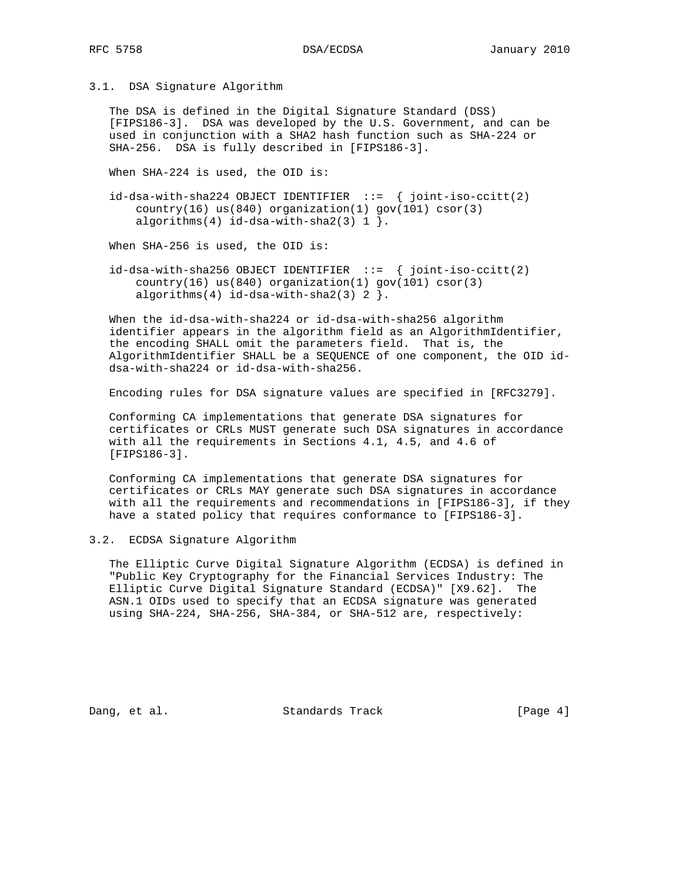### 3.1. DSA Signature Algorithm

 The DSA is defined in the Digital Signature Standard (DSS) [FIPS186-3]. DSA was developed by the U.S. Government, and can be used in conjunction with a SHA2 hash function such as SHA-224 or SHA-256. DSA is fully described in [FIPS186-3].

When SHA-224 is used, the OID is:

 id-dsa-with-sha224 OBJECT IDENTIFIER ::= { joint-iso-ccitt(2)  $country(16)$  us(840) organization(1) gov(101) csor(3) algorithms(4) id-dsa-with-sha2(3)  $1$  }.

When SHA-256 is used, the OID is:

 id-dsa-with-sha256 OBJECT IDENTIFIER ::= { joint-iso-ccitt(2) country(16) us(840) organization(1) gov(101) csor(3) algorithms(4)  $id-dsa-with-sha2(3) 2$  }.

 When the id-dsa-with-sha224 or id-dsa-with-sha256 algorithm identifier appears in the algorithm field as an AlgorithmIdentifier, the encoding SHALL omit the parameters field. That is, the AlgorithmIdentifier SHALL be a SEQUENCE of one component, the OID id dsa-with-sha224 or id-dsa-with-sha256.

Encoding rules for DSA signature values are specified in [RFC3279].

 Conforming CA implementations that generate DSA signatures for certificates or CRLs MUST generate such DSA signatures in accordance with all the requirements in Sections 4.1, 4.5, and 4.6 of [FIPS186-3].

 Conforming CA implementations that generate DSA signatures for certificates or CRLs MAY generate such DSA signatures in accordance with all the requirements and recommendations in [FIPS186-3], if they have a stated policy that requires conformance to [FIPS186-3].

3.2. ECDSA Signature Algorithm

 The Elliptic Curve Digital Signature Algorithm (ECDSA) is defined in "Public Key Cryptography for the Financial Services Industry: The Elliptic Curve Digital Signature Standard (ECDSA)" [X9.62]. The ASN.1 OIDs used to specify that an ECDSA signature was generated using SHA-224, SHA-256, SHA-384, or SHA-512 are, respectively:

Dang, et al. Standards Track [Page 4]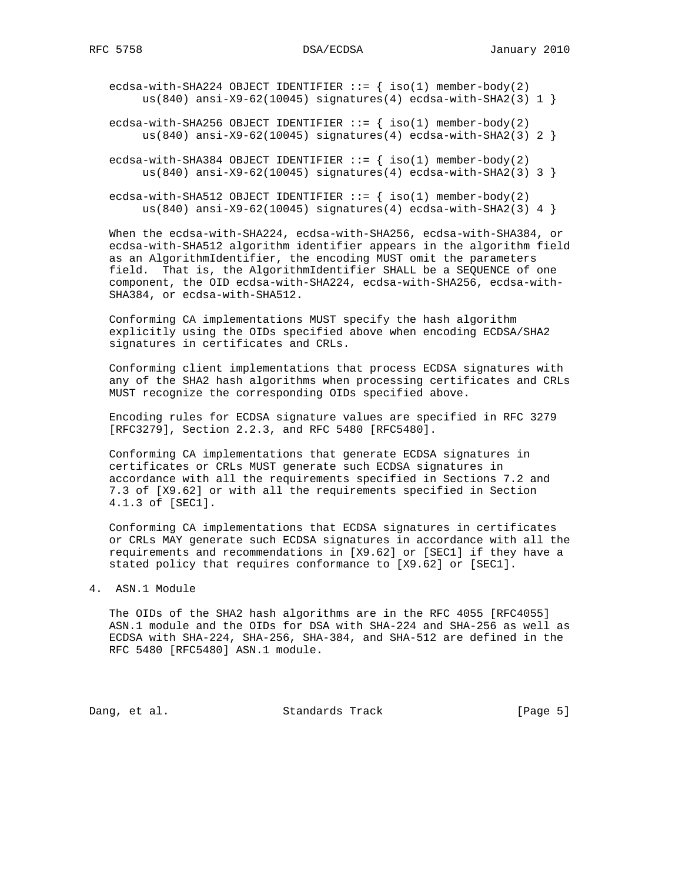ecdsa-with-SHA224 OBJECT IDENTIFIER  $::=$  { iso(1) member-body(2) us(840) ansi-X9-62(10045) signatures(4) ecdsa-with-SHA2(3)  $1$  }

ecdsa-with-SHA256 OBJECT IDENTIFIER  $::=$  { iso(1) member-body(2) us(840) ansi-X9-62(10045) signatures(4) ecdsa-with-SHA2(3) 2 }

ecdsa-with-SHA384 OBJECT IDENTIFIER  $::=$  { iso(1) member-body(2) us(840) ansi-X9-62(10045) signatures(4) ecdsa-with-SHA2(3) 3 }

ecdsa-with-SHA512 OBJECT IDENTIFIER  $::=$  { iso(1) member-body(2) us(840) ansi-X9-62(10045) signatures(4) ecdsa-with-SHA2(3) 4 }

 When the ecdsa-with-SHA224, ecdsa-with-SHA256, ecdsa-with-SHA384, or ecdsa-with-SHA512 algorithm identifier appears in the algorithm field as an AlgorithmIdentifier, the encoding MUST omit the parameters field. That is, the AlgorithmIdentifier SHALL be a SEQUENCE of one component, the OID ecdsa-with-SHA224, ecdsa-with-SHA256, ecdsa-with- SHA384, or ecdsa-with-SHA512.

 Conforming CA implementations MUST specify the hash algorithm explicitly using the OIDs specified above when encoding ECDSA/SHA2 signatures in certificates and CRLs.

 Conforming client implementations that process ECDSA signatures with any of the SHA2 hash algorithms when processing certificates and CRLs MUST recognize the corresponding OIDs specified above.

 Encoding rules for ECDSA signature values are specified in RFC 3279 [RFC3279], Section 2.2.3, and RFC 5480 [RFC5480].

 Conforming CA implementations that generate ECDSA signatures in certificates or CRLs MUST generate such ECDSA signatures in accordance with all the requirements specified in Sections 7.2 and 7.3 of [X9.62] or with all the requirements specified in Section 4.1.3 of [SEC1].

 Conforming CA implementations that ECDSA signatures in certificates or CRLs MAY generate such ECDSA signatures in accordance with all the requirements and recommendations in [X9.62] or [SEC1] if they have a stated policy that requires conformance to [X9.62] or [SEC1].

## 4. ASN.1 Module

 The OIDs of the SHA2 hash algorithms are in the RFC 4055 [RFC4055] ASN.1 module and the OIDs for DSA with SHA-224 and SHA-256 as well as ECDSA with SHA-224, SHA-256, SHA-384, and SHA-512 are defined in the RFC 5480 [RFC5480] ASN.1 module.

Dang, et al. Standards Track [Page 5]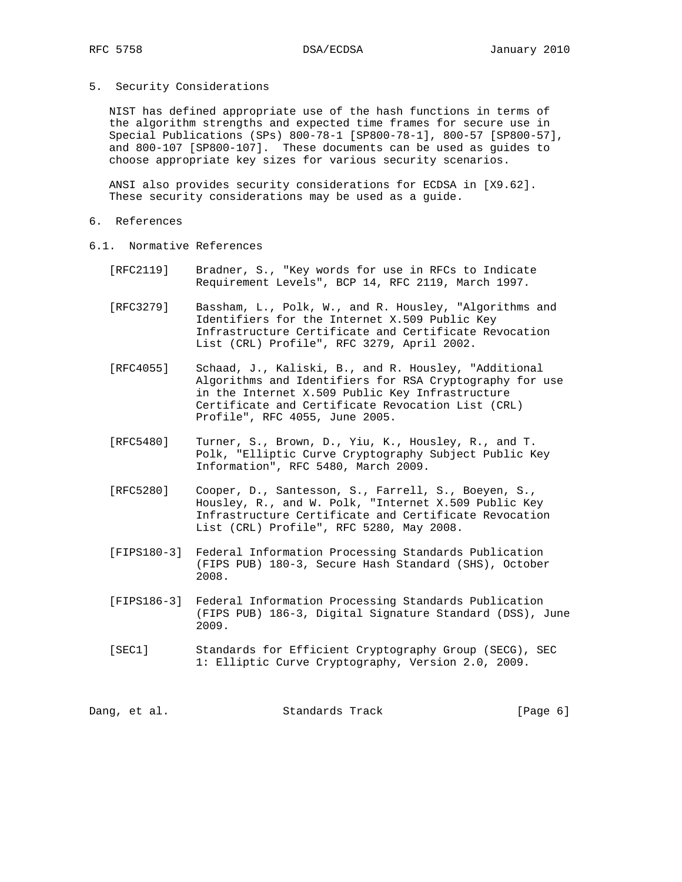5. Security Considerations

 NIST has defined appropriate use of the hash functions in terms of the algorithm strengths and expected time frames for secure use in Special Publications (SPs) 800-78-1 [SP800-78-1], 800-57 [SP800-57], and 800-107 [SP800-107]. These documents can be used as guides to choose appropriate key sizes for various security scenarios.

 ANSI also provides security considerations for ECDSA in [X9.62]. These security considerations may be used as a guide.

- 6. References
- 6.1. Normative References
	- [RFC2119] Bradner, S., "Key words for use in RFCs to Indicate Requirement Levels", BCP 14, RFC 2119, March 1997.
	- [RFC3279] Bassham, L., Polk, W., and R. Housley, "Algorithms and Identifiers for the Internet X.509 Public Key Infrastructure Certificate and Certificate Revocation List (CRL) Profile", RFC 3279, April 2002.
	- [RFC4055] Schaad, J., Kaliski, B., and R. Housley, "Additional Algorithms and Identifiers for RSA Cryptography for use in the Internet X.509 Public Key Infrastructure Certificate and Certificate Revocation List (CRL) Profile", RFC 4055, June 2005.
	- [RFC5480] Turner, S., Brown, D., Yiu, K., Housley, R., and T. Polk, "Elliptic Curve Cryptography Subject Public Key Information", RFC 5480, March 2009.
	- [RFC5280] Cooper, D., Santesson, S., Farrell, S., Boeyen, S., Housley, R., and W. Polk, "Internet X.509 Public Key Infrastructure Certificate and Certificate Revocation List (CRL) Profile", RFC 5280, May 2008.
	- [FIPS180-3] Federal Information Processing Standards Publication (FIPS PUB) 180-3, Secure Hash Standard (SHS), October 2008.
	- [FIPS186-3] Federal Information Processing Standards Publication (FIPS PUB) 186-3, Digital Signature Standard (DSS), June 2009.
	- [SEC1] Standards for Efficient Cryptography Group (SECG), SEC 1: Elliptic Curve Cryptography, Version 2.0, 2009.

|  | Dang, et al. | Standards Track | [Page 6] |
|--|--------------|-----------------|----------|
|--|--------------|-----------------|----------|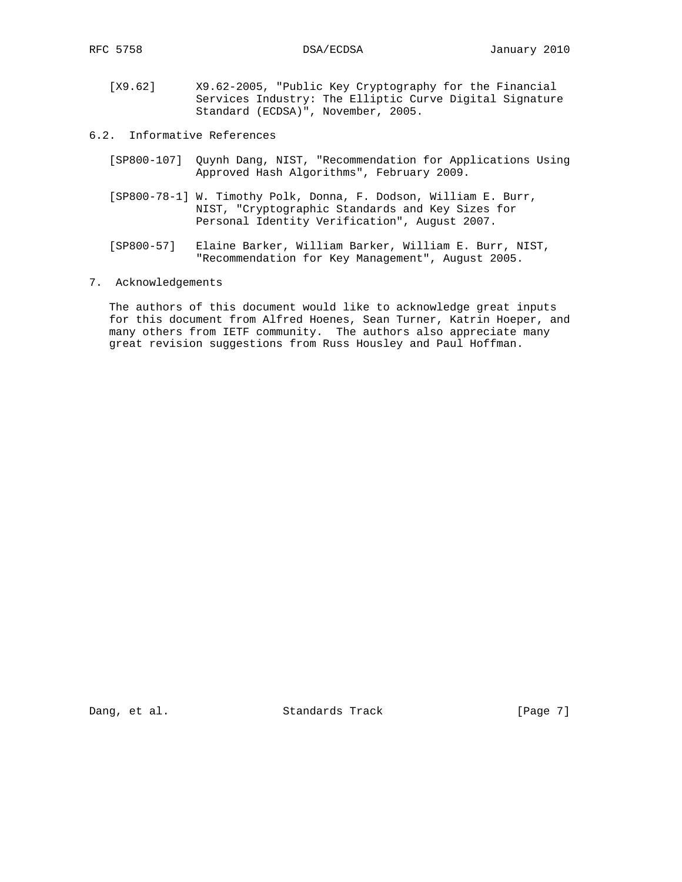- [X9.62] X9.62-2005, "Public Key Cryptography for the Financial Services Industry: The Elliptic Curve Digital Signature Standard (ECDSA)", November, 2005.
- 6.2. Informative References
	- [SP800-107] Quynh Dang, NIST, "Recommendation for Applications Using Approved Hash Algorithms", February 2009.
	- [SP800-78-1] W. Timothy Polk, Donna, F. Dodson, William E. Burr, NIST, "Cryptographic Standards and Key Sizes for Personal Identity Verification", August 2007.
	- [SP800-57] Elaine Barker, William Barker, William E. Burr, NIST, "Recommendation for Key Management", August 2005.
- 7. Acknowledgements

 The authors of this document would like to acknowledge great inputs for this document from Alfred Hoenes, Sean Turner, Katrin Hoeper, and many others from IETF community. The authors also appreciate many great revision suggestions from Russ Housley and Paul Hoffman.

Dang, et al. Standards Track [Page 7]